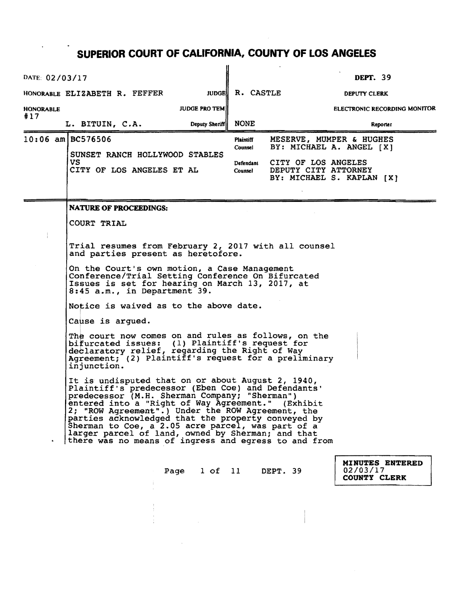| DATE: 02/03/17   |                                                                                                                                                                                                                                                                                                                                                                                                                                                                                                                                                                                                                                                                                                                                                                                                                                                                                                                                                                                                                                                                                  |                |                      |                                                                          | <b>DEPT. 39</b>          |                              |  |
|------------------|----------------------------------------------------------------------------------------------------------------------------------------------------------------------------------------------------------------------------------------------------------------------------------------------------------------------------------------------------------------------------------------------------------------------------------------------------------------------------------------------------------------------------------------------------------------------------------------------------------------------------------------------------------------------------------------------------------------------------------------------------------------------------------------------------------------------------------------------------------------------------------------------------------------------------------------------------------------------------------------------------------------------------------------------------------------------------------|----------------|----------------------|--------------------------------------------------------------------------|--------------------------|------------------------------|--|
|                  | HONORABLE ELIZABETH R. FEFFER                                                                                                                                                                                                                                                                                                                                                                                                                                                                                                                                                                                                                                                                                                                                                                                                                                                                                                                                                                                                                                                    | <b>JUDGE!</b>  | R. CASTLE            |                                                                          | DEPUTY CLERK             |                              |  |
| <b>HONORABLE</b> | <b>JUDGE PRO TEM</b>                                                                                                                                                                                                                                                                                                                                                                                                                                                                                                                                                                                                                                                                                                                                                                                                                                                                                                                                                                                                                                                             |                |                      |                                                                          |                          | ELECTRONIC RECORDING MONITOR |  |
| #17              | L. BITUIN, C.A.                                                                                                                                                                                                                                                                                                                                                                                                                                                                                                                                                                                                                                                                                                                                                                                                                                                                                                                                                                                                                                                                  | Deputy Sheriff | <b>NONE</b>          |                                                                          |                          | Reporter                     |  |
|                  | 10:06 am BC576506<br>SUNSET RANCH HOLLYWOOD STABLES                                                                                                                                                                                                                                                                                                                                                                                                                                                                                                                                                                                                                                                                                                                                                                                                                                                                                                                                                                                                                              |                | Plaintiff<br>Counsel | MESERVE, MUMPER & HUGHES<br>BY: MICHAEL A. ANGEL [X]                     |                          |                              |  |
|                  | VS.<br>CITY OF LOS ANGELES ET AL                                                                                                                                                                                                                                                                                                                                                                                                                                                                                                                                                                                                                                                                                                                                                                                                                                                                                                                                                                                                                                                 |                | Defendant<br>Counsel | CITY OF LOS ANGELES<br>DEPUTY CITY ATTORNEY<br>BY: MICHAEL S. KAPLAN [X] |                          |                              |  |
|                  |                                                                                                                                                                                                                                                                                                                                                                                                                                                                                                                                                                                                                                                                                                                                                                                                                                                                                                                                                                                                                                                                                  |                |                      |                                                                          |                          |                              |  |
|                  | <b>NATURE OF PROCEEDINGS:</b><br>COURT TRIAL                                                                                                                                                                                                                                                                                                                                                                                                                                                                                                                                                                                                                                                                                                                                                                                                                                                                                                                                                                                                                                     |                |                      |                                                                          |                          |                              |  |
|                  | Trial resumes from February 2, 2017 with all counsel<br>and parties present as heretofore.<br>On the Court's own motion, a Case Management<br>Conference/Trial Setting Conference On Bifurcated<br>Issues is set for hearing on March 13, 2017, at<br>8:45 a.m., in Department 39.<br>Notice is waived as to the above date.<br>Cause is argued.<br>The court now comes on and rules as follows, on the<br>bifurcated issues: (1) Plaintiff's request for<br>declaratory relief, regarding the Right of Way<br>Agreement; (2) Plaintiff's request for a preliminary<br>injunction.<br>It is undisputed that on or about August 2, 1940,<br>Plaintiff's predecessor (Eben Coe) and Defendants'<br>predecessor (M.H. Sherman Company; "Sherman")<br>entered into a "Right of Way Agreement." (Exhibit<br>2; "ROW Agreement".) Under the ROW Agreement, the<br>parties acknowledged that the property conveyed by<br>Sherman to Coe, a 2.05 acre parcel, was part of a<br>larger parcel of land, owned by Sherman; and that<br>there was no means of ingress and egress to and from |                |                      |                                                                          |                          |                              |  |
|                  | Page 1 of 11 DEPT. 39                                                                                                                                                                                                                                                                                                                                                                                                                                                                                                                                                                                                                                                                                                                                                                                                                                                                                                                                                                                                                                                            |                |                      |                                                                          | 02/03/17<br>COUNTY CLERK | MINUTES ENTERED              |  |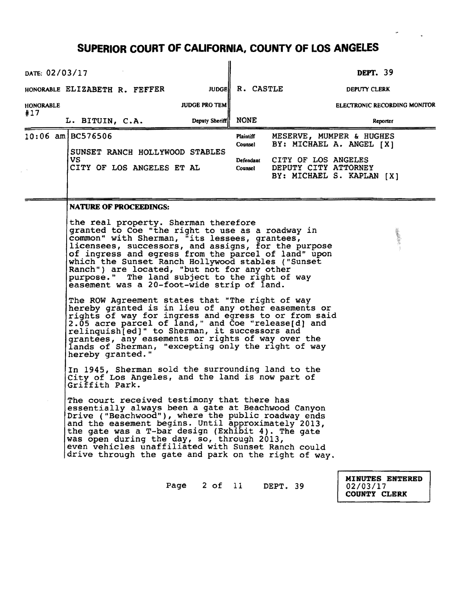| DATE: 02/03/17                                                                                                                                                                                                                                                                                                                                                                                       |                                                                                                                                                                                                                                                                                                                                                                                                                                                                       |                      |                             |                                                                          | <b>DEPT.</b> 39                 |                              |  |  |
|------------------------------------------------------------------------------------------------------------------------------------------------------------------------------------------------------------------------------------------------------------------------------------------------------------------------------------------------------------------------------------------------------|-----------------------------------------------------------------------------------------------------------------------------------------------------------------------------------------------------------------------------------------------------------------------------------------------------------------------------------------------------------------------------------------------------------------------------------------------------------------------|----------------------|-----------------------------|--------------------------------------------------------------------------|---------------------------------|------------------------------|--|--|
|                                                                                                                                                                                                                                                                                                                                                                                                      | HONORABLE ELIZABETH R. FEFFER                                                                                                                                                                                                                                                                                                                                                                                                                                         |                      | JUDGE R. CASTLE             |                                                                          | DEPUTY CLERK                    |                              |  |  |
|                                                                                                                                                                                                                                                                                                                                                                                                      |                                                                                                                                                                                                                                                                                                                                                                                                                                                                       | <b>JUDGE PRO TEM</b> |                             |                                                                          |                                 | ELECTRONIC RECORDING MONITOR |  |  |
| <b>HONORABLE</b><br>#17                                                                                                                                                                                                                                                                                                                                                                              |                                                                                                                                                                                                                                                                                                                                                                                                                                                                       |                      |                             |                                                                          |                                 |                              |  |  |
|                                                                                                                                                                                                                                                                                                                                                                                                      | L. BITUIN, C.A.                                                                                                                                                                                                                                                                                                                                                                                                                                                       | Deputy Sheriff       | <b>NONE</b>                 |                                                                          |                                 | Reporter                     |  |  |
|                                                                                                                                                                                                                                                                                                                                                                                                      | $10:06$ am BC576506                                                                                                                                                                                                                                                                                                                                                                                                                                                   |                      | <b>Plaintiff</b><br>Counsel | MESERVE, MUMPER & HUGHES<br>BY: MICHAEL A. ANGEL [X]                     |                                 |                              |  |  |
|                                                                                                                                                                                                                                                                                                                                                                                                      | SUNSET RANCH HOLLYWOOD STABLES<br>VS.<br>CITY OF LOS ANGELES ET AL                                                                                                                                                                                                                                                                                                                                                                                                    |                      | Defendant<br>Counsel        | CITY OF LOS ANGELES<br>DEPUTY CITY ATTORNEY<br>BY: MICHAEL S. KAPLAN [X] |                                 |                              |  |  |
|                                                                                                                                                                                                                                                                                                                                                                                                      | <b>NATURE OF PROCEEDINGS:</b>                                                                                                                                                                                                                                                                                                                                                                                                                                         |                      |                             |                                                                          |                                 |                              |  |  |
|                                                                                                                                                                                                                                                                                                                                                                                                      | the real property. Sherman therefore<br>granted to Coe "the right to use as a roadway in<br>""我的话"<br>common" with Sherman, "its lessees, grantees,<br>licensees, successors, and assigns, for the purpose<br>of ingress and egress from the parcel of land" upon<br>which the Sunset Ranch Hollywood stables ("Sunset<br>Ranch") are located, "but not for any other<br>purpose." The land subject to the right of way<br>easement was a 20-foot-wide strip of land. |                      |                             |                                                                          |                                 |                              |  |  |
| The ROW Agreement states that "The right of way<br>hereby granted is in lieu of any other easements or<br>rights of way for ingress and egress to or from said<br>2.05 acre parcel of land," and Coe "release[d] and<br>relinquish[ed]" to Sherman, it successors and<br>grantees, any easements or rights of way over the<br>lands of Sherman, "excepting only the right of way<br>hereby granted." |                                                                                                                                                                                                                                                                                                                                                                                                                                                                       |                      |                             |                                                                          |                                 |                              |  |  |
|                                                                                                                                                                                                                                                                                                                                                                                                      | In 1945, Sherman sold the surrounding land to the<br>City of Los Angeles, and the land is now part of<br>Griffith Park.                                                                                                                                                                                                                                                                                                                                               |                      |                             |                                                                          |                                 |                              |  |  |
|                                                                                                                                                                                                                                                                                                                                                                                                      | The court received testimony that there has<br>essentially always been a gate at Beachwood Canyon<br>Drive ("Beachwood"), where the public roadway ends<br>and the easement begins. Until approximately 2013,<br>the gate was a T-bar design (Exhibit 4). The gate<br>was open during the day, so, through 2013,<br>even vehicles unaffiliated with Sunset Ranch could<br>drive through the gate and park on the right of way.                                        |                      |                             |                                                                          |                                 |                              |  |  |
|                                                                                                                                                                                                                                                                                                                                                                                                      |                                                                                                                                                                                                                                                                                                                                                                                                                                                                       | Page                 |                             | 2 of 11 DEPT. 39                                                         | 02/03/17<br><b>COUNTY CLERK</b> | <b>MINUTES ENTERED</b>       |  |  |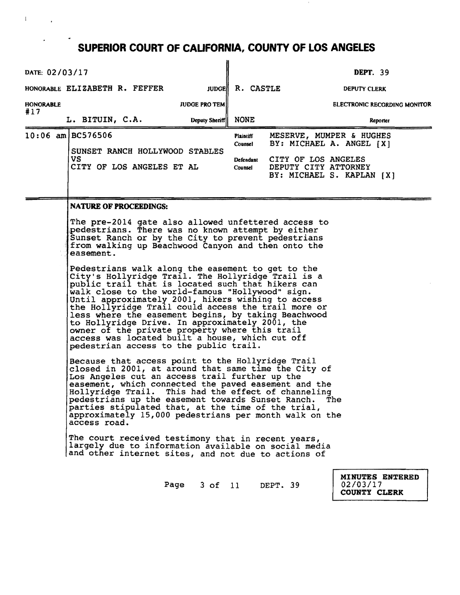$\mathbf{1}$ 

 $\sim$   $\sim$ 

 $\epsilon$ 

| DATE: 02/03/17   |                                                                                                                                                                                                                                                                                                                                                                                                                                                                                                                                                                                                                                                                                                                                                                                                                                                                                                                                                                                   |      |                      |                                              |                                                                                                                                                                                                                                                                                                                                                                                                                                                                                                                     | <b>DEPT.</b> 39 |                              |
|------------------|-----------------------------------------------------------------------------------------------------------------------------------------------------------------------------------------------------------------------------------------------------------------------------------------------------------------------------------------------------------------------------------------------------------------------------------------------------------------------------------------------------------------------------------------------------------------------------------------------------------------------------------------------------------------------------------------------------------------------------------------------------------------------------------------------------------------------------------------------------------------------------------------------------------------------------------------------------------------------------------|------|----------------------|----------------------------------------------|---------------------------------------------------------------------------------------------------------------------------------------------------------------------------------------------------------------------------------------------------------------------------------------------------------------------------------------------------------------------------------------------------------------------------------------------------------------------------------------------------------------------|-----------------|------------------------------|
|                  | HONORABLE ELIZABETH R. FEFFER                                                                                                                                                                                                                                                                                                                                                                                                                                                                                                                                                                                                                                                                                                                                                                                                                                                                                                                                                     |      |                      | JUDGE R. CASTLE                              |                                                                                                                                                                                                                                                                                                                                                                                                                                                                                                                     | DEPUTY CLERK    |                              |
| <b>HONORABLE</b> |                                                                                                                                                                                                                                                                                                                                                                                                                                                                                                                                                                                                                                                                                                                                                                                                                                                                                                                                                                                   |      | <b>JUDGE PRO TEM</b> |                                              |                                                                                                                                                                                                                                                                                                                                                                                                                                                                                                                     |                 | ELECTRONIC RECORDING MONITOR |
| #17              | L. BITUIN, C.A.                                                                                                                                                                                                                                                                                                                                                                                                                                                                                                                                                                                                                                                                                                                                                                                                                                                                                                                                                                   |      | Deputy Sheriff       | <b>NONE</b>                                  |                                                                                                                                                                                                                                                                                                                                                                                                                                                                                                                     |                 | Reporter                     |
|                  | $10:06$ am BC576506<br>SUNSET RANCH HOLLYWOOD STABLES<br>VS.<br>CITY OF LOS ANGELES ET AL                                                                                                                                                                                                                                                                                                                                                                                                                                                                                                                                                                                                                                                                                                                                                                                                                                                                                         |      |                      | Plaintiff<br>Counsel<br>Defendant<br>Counsel | MESERVE, MUMPER & HUGHES<br>BY: MICHAEL A. ANGEL [X]<br>CITY OF LOS ANGELES<br>DEPUTY CITY ATTORNEY<br>BY: MICHAEL S. KAPLAN [X]                                                                                                                                                                                                                                                                                                                                                                                    |                 |                              |
|                  | <b>NATURE OF PROCEEDINGS:</b><br>pedestrians. There was no known attempt by either<br>Sunset Ranch or by the City to prevent pedestrians<br>from walking up Beachwood Canyon and then onto the<br>easement.<br>Pedestrians walk along the easement to get to the<br>City's Hollyridge Trail. The Hollyridge Trail is a<br>public trail that is located such that hikers can<br>walk close to the world-famous "Hollywood" sign.<br>Until approximately 2001, hikers wishing to access<br>to Hollyridge Drive. In approximately 2001, the<br>owner of the private property where this trail<br>access was located built a house, which cut off<br>pedestrian access to the public trail.<br>Because that access point to the Hollyridge Trail<br>Los Angeles cut an access trail further up the<br>parties stipulated that, at the time of the trial,<br>access road.<br>The court received testimony that in recent years,<br>and other internet sites, and not due to actions of |      |                      |                                              | The pre-2014 gate also allowed unfettered access to<br>the Hollyridge Trail could access the trail more or<br>less where the easement begins, by taking Beachwood<br>closed in 2001, at around that same time the City of<br>easement, which connected the paved easement and the<br>Hollyridge Trail. This had the effect of channeling<br>pedestrians up the easement towards Sunset Ranch. The<br>approximately 15,000 pedestrians per month walk on the<br>largely due to information available on social media |                 |                              |
|                  |                                                                                                                                                                                                                                                                                                                                                                                                                                                                                                                                                                                                                                                                                                                                                                                                                                                                                                                                                                                   | Page | 3 of 11              |                                              | DEPT. 39                                                                                                                                                                                                                                                                                                                                                                                                                                                                                                            | 02/03/17        | MINUTES ENTERED              |

COUNTY CLERK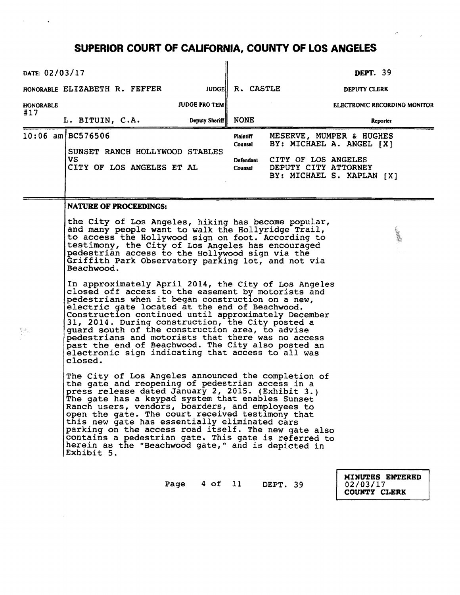| DATE: 02/03/17                                                                                                                                                                                                                                                                                                                                                                                                                                                                                                                                             |                                                                                                                                                                                                                                                                                                                                             |                                                                                                                                                                                                                                                                                                                                                                                                                                                                                                                                                  |                                              |                                             | <b>DEPT.</b> 39                                                                   |  |  |  |
|------------------------------------------------------------------------------------------------------------------------------------------------------------------------------------------------------------------------------------------------------------------------------------------------------------------------------------------------------------------------------------------------------------------------------------------------------------------------------------------------------------------------------------------------------------|---------------------------------------------------------------------------------------------------------------------------------------------------------------------------------------------------------------------------------------------------------------------------------------------------------------------------------------------|--------------------------------------------------------------------------------------------------------------------------------------------------------------------------------------------------------------------------------------------------------------------------------------------------------------------------------------------------------------------------------------------------------------------------------------------------------------------------------------------------------------------------------------------------|----------------------------------------------|---------------------------------------------|-----------------------------------------------------------------------------------|--|--|--|
|                                                                                                                                                                                                                                                                                                                                                                                                                                                                                                                                                            | HONORABLE ELIZABETH R. FEFFER                                                                                                                                                                                                                                                                                                               |                                                                                                                                                                                                                                                                                                                                                                                                                                                                                                                                                  | JUDGE R. CASTLE                              |                                             | DEPUTY CLERK                                                                      |  |  |  |
| <b>HONORABLE</b>                                                                                                                                                                                                                                                                                                                                                                                                                                                                                                                                           |                                                                                                                                                                                                                                                                                                                                             | <b>JUDGE PRO TEMI</b>                                                                                                                                                                                                                                                                                                                                                                                                                                                                                                                            |                                              |                                             | <b>ELECTRONIC RECORDING MONITOR</b>                                               |  |  |  |
| #17                                                                                                                                                                                                                                                                                                                                                                                                                                                                                                                                                        | L. BITUIN, C.A.                                                                                                                                                                                                                                                                                                                             | Deputy Sheriff                                                                                                                                                                                                                                                                                                                                                                                                                                                                                                                                   | <b>NONE</b>                                  |                                             | Reporter                                                                          |  |  |  |
|                                                                                                                                                                                                                                                                                                                                                                                                                                                                                                                                                            | 10:06 am BC576506<br>SUNSET RANCH HOLLYWOOD STABLES<br>VS.<br>CITY OF LOS ANGELES ET AL                                                                                                                                                                                                                                                     |                                                                                                                                                                                                                                                                                                                                                                                                                                                                                                                                                  | Plaintiff<br>Counsel<br>Defendant<br>Counsel | CITY OF LOS ANGELES<br>DEPUTY CITY ATTORNEY | MESERVE, MUMPER & HUGHES<br>BY: MICHAEL A. ANGEL [X]<br>BY: MICHAEL S. KAPLAN [X] |  |  |  |
|                                                                                                                                                                                                                                                                                                                                                                                                                                                                                                                                                            | <b>NATURE OF PROCEEDINGS:</b>                                                                                                                                                                                                                                                                                                               |                                                                                                                                                                                                                                                                                                                                                                                                                                                                                                                                                  |                                              |                                             |                                                                                   |  |  |  |
|                                                                                                                                                                                                                                                                                                                                                                                                                                                                                                                                                            | the City of Los Angeles, hiking has become popular,<br>and many people want to walk the Hollyridge Trail,<br>to access the Hollywood sign on foot. According to<br>testimony, the City of Los Angeles has encouraged<br>pedestrian access to the Hollywood sign via the<br>Griffith Park Observatory parking lot, and not via<br>Beachwood. |                                                                                                                                                                                                                                                                                                                                                                                                                                                                                                                                                  |                                              |                                             |                                                                                   |  |  |  |
| In approximately April 2014, the City of Los Angeles<br>closed off access to the easement by motorists and<br>pedestrians when it began construction on a new,<br>electric gate located at the end of Beachwood.<br>Construction continued until approximately December<br>31, 2014. During construction, the City posted a<br>quard south of the construction area, to advise<br>pedestrians and motorists that there was no access<br>past the end of Beachwood. The City also posted an<br>electronic sign indicating that access to all was<br>closed. |                                                                                                                                                                                                                                                                                                                                             |                                                                                                                                                                                                                                                                                                                                                                                                                                                                                                                                                  |                                              |                                             |                                                                                   |  |  |  |
|                                                                                                                                                                                                                                                                                                                                                                                                                                                                                                                                                            | Exhibit 5.                                                                                                                                                                                                                                                                                                                                  | The City of Los Angeles announced the completion of<br>the gate and reopening of pedestrian access in a<br>press release dated January 2, 2015. (Exhibit 3.)<br>The gate has a keypad system that enables Sunset'<br>Ranch users, vendors, boarders, and employees to<br>open the gate. The court received testimony that<br>this new gate has essentially eliminated cars<br>parking on the access road itself. The new gate also<br>contains a pedestrian gate. This gate is referred to<br>herein as the "Beachwood gate," and is depicted in |                                              |                                             |                                                                                   |  |  |  |
|                                                                                                                                                                                                                                                                                                                                                                                                                                                                                                                                                            |                                                                                                                                                                                                                                                                                                                                             | Page                                                                                                                                                                                                                                                                                                                                                                                                                                                                                                                                             | 4 of 11                                      | DEPT. 39                                    | MINUTES ENTERED<br>02/03/17                                                       |  |  |  |

COUNTY CLERK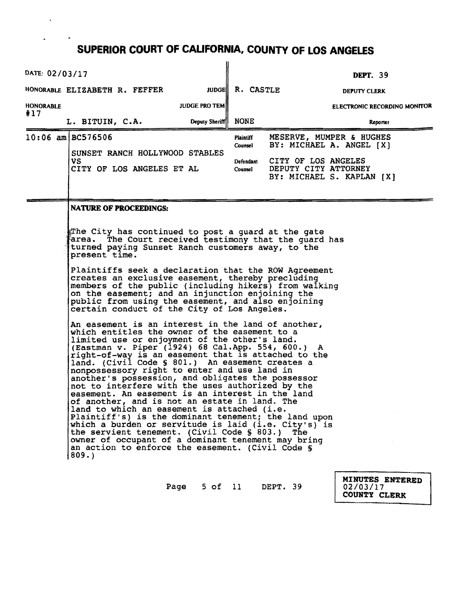$\bar{\mathbf{r}}$ 

 $\bullet$ 

| DATE: 02/03/17   |                                                                                                                                                                                                                                                                                                                                                                                                                                                                                                                                                                                                                                                                                                                                                                                                                                                                                                                                                                                                                                                                                                                                                                                                                                                                                          |                |                                              |                                                                                                                                  | <b>DEPT.</b> 39     |                              |
|------------------|------------------------------------------------------------------------------------------------------------------------------------------------------------------------------------------------------------------------------------------------------------------------------------------------------------------------------------------------------------------------------------------------------------------------------------------------------------------------------------------------------------------------------------------------------------------------------------------------------------------------------------------------------------------------------------------------------------------------------------------------------------------------------------------------------------------------------------------------------------------------------------------------------------------------------------------------------------------------------------------------------------------------------------------------------------------------------------------------------------------------------------------------------------------------------------------------------------------------------------------------------------------------------------------|----------------|----------------------------------------------|----------------------------------------------------------------------------------------------------------------------------------|---------------------|------------------------------|
|                  | HONORABLE ELIZABETH R. FEFFER                                                                                                                                                                                                                                                                                                                                                                                                                                                                                                                                                                                                                                                                                                                                                                                                                                                                                                                                                                                                                                                                                                                                                                                                                                                            |                | JUDGE R. CASTLE                              |                                                                                                                                  | <b>DEPUTY CLERK</b> |                              |
| <b>HONORABLE</b> | <b>JUDGE PRO TEMI</b>                                                                                                                                                                                                                                                                                                                                                                                                                                                                                                                                                                                                                                                                                                                                                                                                                                                                                                                                                                                                                                                                                                                                                                                                                                                                    |                |                                              |                                                                                                                                  |                     | ELECTRONIC RECORDING MONITOR |
|                  | L. BITUIN, C.A.                                                                                                                                                                                                                                                                                                                                                                                                                                                                                                                                                                                                                                                                                                                                                                                                                                                                                                                                                                                                                                                                                                                                                                                                                                                                          | Deputy Sheriff | NONE                                         |                                                                                                                                  |                     | Reporter                     |
| #17              | $10:06$ am BC576506<br>SUNSET RANCH HOLLYWOOD STABLES<br><b>VS</b><br>CITY OF LOS ANGELES ET AL<br><b>NATURE OF PROCEEDINGS:</b><br>The City has continued to post a guard at the gate<br>area. The Court received testimony that the guard has<br>turned paying Sunset Ranch customers away, to the<br>present time.<br>Plaintiffs seek a declaration that the ROW Agreement<br>creates an exclusive easement, thereby precluding<br>members of the public (including hikers) from walking<br>on the easement; and an injunction enjoining the<br>public from using the easement, and also enjoining<br>certain conduct of the City of Los Angeles.<br>An easement is an interest in the land of another,<br>which entitles the owner of the easement to a<br>limited use or enjoyment of the other's land.<br>(Eastman v. Piper (1924) 68 Cal.App. 554, 600.) A<br>right-of-way is an easement that is attached to the<br>land. (Civil Code § 801.) An easement creates a<br>nonpossessory right to enter and use land in<br>another's possession, and obligates the possessor<br>not to interfere with the uses authorized by the<br>easement. An easement is an interest in the land<br>of another, and is not an estate in land. The<br>land to which an easement is attached (i.e. |                | Plaintiff<br>Counsel<br>Defendant<br>Counsel | MESERVE, MUMPER & HUGHES<br>BY: MICHAEL A. ANGEL [X]<br>CITY OF LOS ANGELES<br>DEPUTY CITY ATTORNEY<br>BY: MICHAEL S. KAPLAN [X] |                     |                              |
|                  | Plaintiff's) is the dominant tenement; the land upon<br>which a burden or servitude is laid (i.e. City's) is<br>the servient tenement. (Civil Code § 803.)<br>owner of occupant of a dominant tenement may bring<br>an action to enforce the easement. (Civil Code §<br>809.                                                                                                                                                                                                                                                                                                                                                                                                                                                                                                                                                                                                                                                                                                                                                                                                                                                                                                                                                                                                             |                |                                              | The                                                                                                                              |                     |                              |
|                  |                                                                                                                                                                                                                                                                                                                                                                                                                                                                                                                                                                                                                                                                                                                                                                                                                                                                                                                                                                                                                                                                                                                                                                                                                                                                                          |                |                                              |                                                                                                                                  |                     |                              |

Page 5 of 11 DEPT. 39

MINUTES ENTERED COUNTY CLERK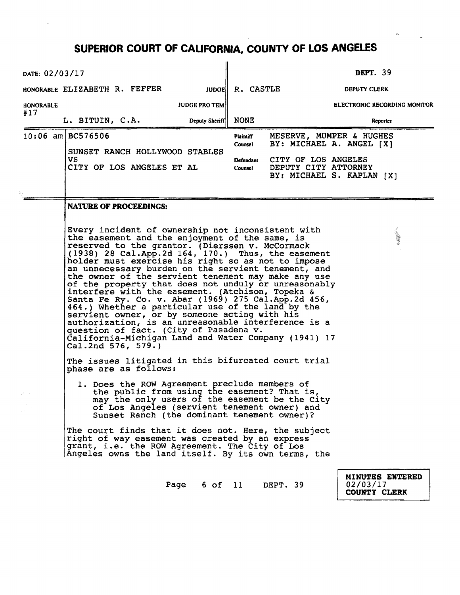| DATE: 02/03/17                |                                                                                                                                                                                                                                                                                                                                                                                                                                                                                                                                                                                                                                                                                                                                                                                                                      |                       |                      |                                                                          | <b>DEPT.</b> 39                 |                                     |  |
|-------------------------------|----------------------------------------------------------------------------------------------------------------------------------------------------------------------------------------------------------------------------------------------------------------------------------------------------------------------------------------------------------------------------------------------------------------------------------------------------------------------------------------------------------------------------------------------------------------------------------------------------------------------------------------------------------------------------------------------------------------------------------------------------------------------------------------------------------------------|-----------------------|----------------------|--------------------------------------------------------------------------|---------------------------------|-------------------------------------|--|
| HONORABLE ELIZABETH R. FEFFER |                                                                                                                                                                                                                                                                                                                                                                                                                                                                                                                                                                                                                                                                                                                                                                                                                      | <b>JUDGE  </b>        | R. CASTLE            |                                                                          | DEPUTY CLERK                    |                                     |  |
| <b>HONORABLE</b><br>#17       |                                                                                                                                                                                                                                                                                                                                                                                                                                                                                                                                                                                                                                                                                                                                                                                                                      | <b>JUDGE PRO TEM</b>  |                      |                                                                          |                                 | <b>ELECTRONIC RECORDING MONITOR</b> |  |
| L. BITUIN, C.A.               |                                                                                                                                                                                                                                                                                                                                                                                                                                                                                                                                                                                                                                                                                                                                                                                                                      | Deputy Sheriff        | NONE                 |                                                                          |                                 | Reporter                            |  |
| $10:06$ am BC576506           |                                                                                                                                                                                                                                                                                                                                                                                                                                                                                                                                                                                                                                                                                                                                                                                                                      |                       | Plaintiff<br>Counsel | MESERVE, MUMPER & HUGHES<br>BY: MICHAEL A. ANGEL [X]                     |                                 |                                     |  |
| VS                            | SUNSET RANCH HOLLYWOOD STABLES<br>CITY OF LOS ANGELES ET AL                                                                                                                                                                                                                                                                                                                                                                                                                                                                                                                                                                                                                                                                                                                                                          |                       | Defendant<br>Counsel | CITY OF LOS ANGELES<br>DEPUTY CITY ATTORNEY<br>BY: MICHAEL S. KAPLAN [X] |                                 |                                     |  |
|                               | <b>NATURE OF PROCEEDINGS:</b>                                                                                                                                                                                                                                                                                                                                                                                                                                                                                                                                                                                                                                                                                                                                                                                        |                       |                      |                                                                          |                                 |                                     |  |
| Cal.2nd 576, 579.)            | Every incident of ownership not inconsistent with<br>the easement and the enjoyment of the same, is<br>reserved to the grantor. (Dierssen v. McCormack<br>(1938) 28 Cal.App.2d 164, 170.) Thus, the easement<br>holder must exercise his right so as not to impose<br>an unnecessary burden on the servient tenement, and<br>the owner of the servient tenement may make any use<br>of the property that does not unduly or unreasonably<br>interfere with the easement. (Atchison, Topeka &<br>Santa Fe Ry. Co. v. Abar (1969) 275 Cal. App. 2d 456,<br>464.) Whether a particular use of the land by the<br>servient owner, or by someone acting with his<br>authorization, is an unreasonable interference is a<br>question of fact. (City of Pasadena v.<br>California-Michigan Land and Water Company (1941) 17 |                       |                      |                                                                          |                                 |                                     |  |
|                               | The issues litigated in this bifurcated court trial<br>phase are as follows:                                                                                                                                                                                                                                                                                                                                                                                                                                                                                                                                                                                                                                                                                                                                         |                       |                      |                                                                          |                                 |                                     |  |
|                               | 1. Does the ROW Agreement preclude members of<br>the public from using the easement? That is,<br>may the only users of the easement be the City<br>of Los Angeles (servient tenement owner) and<br>Sunset Ranch (the dominant tenement owner)?                                                                                                                                                                                                                                                                                                                                                                                                                                                                                                                                                                       |                       |                      |                                                                          |                                 |                                     |  |
|                               | The court finds that it does not. Here, the subject<br>right of way easement was created by an express<br>grant, i.e. the ROW Agreement. The City of Los<br>Angeles owns the land itself. By its own terms, the                                                                                                                                                                                                                                                                                                                                                                                                                                                                                                                                                                                                      |                       |                      |                                                                          |                                 |                                     |  |
|                               |                                                                                                                                                                                                                                                                                                                                                                                                                                                                                                                                                                                                                                                                                                                                                                                                                      | Page 6 of 11 DEPT. 39 |                      |                                                                          | 02/03/17<br><b>COUNTY CLERK</b> | MINUTES ENTERED                     |  |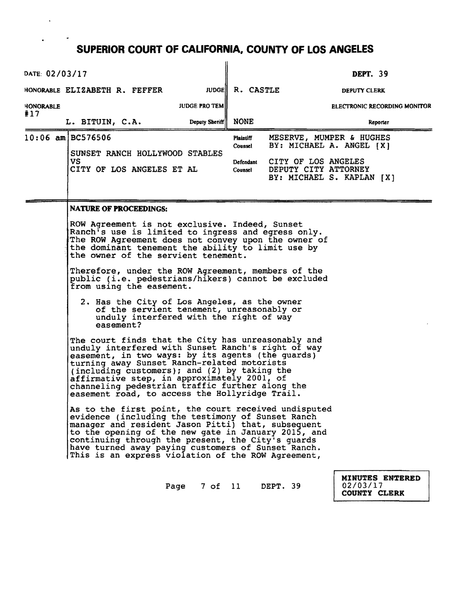$\blacksquare$ 

| DATE: 02/03/17   |                                                                                                                                                                                                                                                                                                                                                                                                                                                                                                                                                       |                      |                 |                                              |                                                                                                                                  | <b>DEPT.</b> 39     |                                     |  |
|------------------|-------------------------------------------------------------------------------------------------------------------------------------------------------------------------------------------------------------------------------------------------------------------------------------------------------------------------------------------------------------------------------------------------------------------------------------------------------------------------------------------------------------------------------------------------------|----------------------|-----------------|----------------------------------------------|----------------------------------------------------------------------------------------------------------------------------------|---------------------|-------------------------------------|--|
|                  | HONORABLE ELIZABETH R. FEFFER                                                                                                                                                                                                                                                                                                                                                                                                                                                                                                                         |                      | JUDGE R. CASTLE |                                              |                                                                                                                                  | <b>DEPUTY CLERK</b> |                                     |  |
| <b>HONORABLE</b> |                                                                                                                                                                                                                                                                                                                                                                                                                                                                                                                                                       | <b>JUDGE PRO TEM</b> |                 |                                              |                                                                                                                                  |                     | <b>ELECTRONIC RECORDING MONITOR</b> |  |
| #17              | L. BITUIN, C.A.                                                                                                                                                                                                                                                                                                                                                                                                                                                                                                                                       |                      | Deputy Sheriff  | <b>NONE</b>                                  |                                                                                                                                  |                     | Reporter                            |  |
|                  | 10:06 am BC576506<br>SUNSET RANCH HOLLYWOOD STABLES<br>VS<br>CITY OF LOS ANGELES ET AL                                                                                                                                                                                                                                                                                                                                                                                                                                                                |                      |                 | Plaintiff<br>Counsel<br>Defendant<br>Counsel | MESERVE, MUMPER & HUGHES<br>BY: MICHAEL A. ANGEL [X]<br>CITY OF LOS ANGELES<br>DEPUTY CITY ATTORNEY<br>BY: MICHAEL S. KAPLAN [X] |                     |                                     |  |
|                  | <b>NATURE OF PROCEEDINGS:</b>                                                                                                                                                                                                                                                                                                                                                                                                                                                                                                                         |                      |                 |                                              |                                                                                                                                  |                     |                                     |  |
|                  | ROW Agreement is not exclusive. Indeed, Sunset<br>Ranch's use is limited to ingress and egress only.<br>The ROW Agreement does not convey upon the owner of<br>the dominant tenement the ability to limit use by<br>the owner of the servient tenement.<br>Therefore, under the ROW Agreement, members of the<br>public (i.e. pedestrians/hikers) cannot be excluded<br>from using the easement.<br>2. Has the City of Los Angeles, as the owner<br>of the servient tenement, unreasonably or<br>unduly interfered with the right of way<br>easement? |                      |                 |                                              |                                                                                                                                  |                     |                                     |  |
|                  | The court finds that the City has unreasonably and<br>unduly interfered with Sunset Ranch's right of way<br>easement, in two ways: by its agents (the guards)<br>turning away Sunset Ranch-related motorists<br>(including customers); and (2) by taking the<br>affirmative step, in approximately 2001, of<br>channeling pedestrian traffic further along the<br>easement road, to access the Hollyridge Trail.                                                                                                                                      |                      |                 |                                              |                                                                                                                                  |                     |                                     |  |
|                  | As to the first point, the court received undisputed<br>evidence (including the testimony of Sunset Ranch<br>manager and resident Jason Pitti) that, subsequent<br>to the opening of the new gate in January 2015, and<br>continuing through the present, the City's quards<br>have turned away paying customers of Sunset Ranch.<br>This is an express violation of the ROW Agreement,                                                                                                                                                               |                      |                 |                                              |                                                                                                                                  |                     |                                     |  |
|                  |                                                                                                                                                                                                                                                                                                                                                                                                                                                                                                                                                       | Page                 | 7 of 11         |                                              | DEPT. 39                                                                                                                         | 02/03/17            | MINUTES ENTERED                     |  |

COUNTY CLERK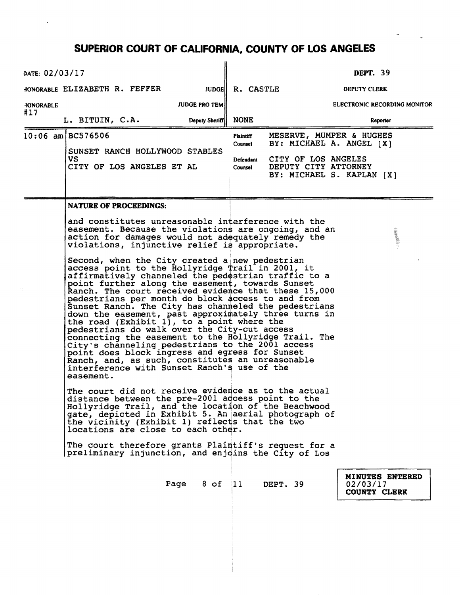| DATE: 02/03/17   |                                                                                                                                                                                                                                                                                                                                                                                                                                                                                                                                                                                                                                                                                                                                                                                                                                                                                                                                                                                                                                                                                                                                                                                                                                                                                                                                                                                                                                                                                                                   |                       |                                                     |                                             | <b>DEPT.</b> 39                                                                   |
|------------------|-------------------------------------------------------------------------------------------------------------------------------------------------------------------------------------------------------------------------------------------------------------------------------------------------------------------------------------------------------------------------------------------------------------------------------------------------------------------------------------------------------------------------------------------------------------------------------------------------------------------------------------------------------------------------------------------------------------------------------------------------------------------------------------------------------------------------------------------------------------------------------------------------------------------------------------------------------------------------------------------------------------------------------------------------------------------------------------------------------------------------------------------------------------------------------------------------------------------------------------------------------------------------------------------------------------------------------------------------------------------------------------------------------------------------------------------------------------------------------------------------------------------|-----------------------|-----------------------------------------------------|---------------------------------------------|-----------------------------------------------------------------------------------|
|                  | HONORABLE ELIZABETH R. FEFFER                                                                                                                                                                                                                                                                                                                                                                                                                                                                                                                                                                                                                                                                                                                                                                                                                                                                                                                                                                                                                                                                                                                                                                                                                                                                                                                                                                                                                                                                                     |                       | JUDGE R. CASTLE                                     |                                             | DEPUTY CLERK                                                                      |
| <b>HONORABLE</b> |                                                                                                                                                                                                                                                                                                                                                                                                                                                                                                                                                                                                                                                                                                                                                                                                                                                                                                                                                                                                                                                                                                                                                                                                                                                                                                                                                                                                                                                                                                                   | <b>JUDGE PRO TEM </b> |                                                     |                                             | <b>ELECTRONIC RECORDING MONITOR</b>                                               |
| #17              | L. BITUIN, C.A.                                                                                                                                                                                                                                                                                                                                                                                                                                                                                                                                                                                                                                                                                                                                                                                                                                                                                                                                                                                                                                                                                                                                                                                                                                                                                                                                                                                                                                                                                                   | Deputy Sheriff        | <b>NONE</b>                                         |                                             | Reporter                                                                          |
|                  | $10:06$ am BC576506<br>SUNSET RANCH HOLLYWOOD STABLES<br>VS.<br>CITY OF LOS ANGELES ET AL                                                                                                                                                                                                                                                                                                                                                                                                                                                                                                                                                                                                                                                                                                                                                                                                                                                                                                                                                                                                                                                                                                                                                                                                                                                                                                                                                                                                                         |                       | <b>Plaintiff</b><br>Counsel<br>Defendant<br>Counsel | CITY OF LOS ANGELES<br>DEPUTY CITY ATTORNEY | MESERVE, MUMPER & HUGHES<br>BY: MICHAEL A. ANGEL [X]<br>BY: MICHAEL S. KAPLAN [X] |
|                  | <b>NATURE OF PROCEEDINGS:</b><br>and constitutes unreasonable interference with the<br>easement. Because the violations are ongoing, and an<br>action for damages would not adequately remedy the<br>violations, injunctive relief is appropriate.<br>Second, when the City created a new pedestrian<br>access point to the Hollyridge Trail in 2001, it<br>affirmatively channeled the pedestrian traffic to a<br>point further along the easement, towards Sunset<br>Ranch. The court received evidence that these 15,000<br>pedestrians per month do block access to and from<br>Sunset Ranch. The City has channeled the pedestrians<br>down the easement, past approximately three turns in<br>the road (Exhibit $1$ ), to a point where the<br>pedestrians do walk over the City-cut access<br>connecting the easement to the Hollyridge Trail. The<br>City's channeling pedestrians to the 2001 access<br>point does block ingress and egress for Sunset<br>Ranch, and, as such, constitutes an unreasonable<br>interference with Sunset Ranch's use of the<br>easement.<br>The court did not receive evidence as to the actual<br>distance between the pre-2001 access point to the<br>Hollyridge Trail, and the location of the Beachwood<br>gate, depicted in Exhibit 5. An aerial photograph of<br>the vicinity (Exhibit 1) reflects that the two<br>locations are close to each other.<br>The court therefore grants Plaintiff's request for a<br>preliminary injunction, and enjoins the City of Los |                       |                                                     |                                             |                                                                                   |
|                  |                                                                                                                                                                                                                                                                                                                                                                                                                                                                                                                                                                                                                                                                                                                                                                                                                                                                                                                                                                                                                                                                                                                                                                                                                                                                                                                                                                                                                                                                                                                   | Page 8 of 11 DEPT. 39 |                                                     |                                             | <b>MINUTES ENTERED</b><br>02/03/17<br>COUNTY CLERK                                |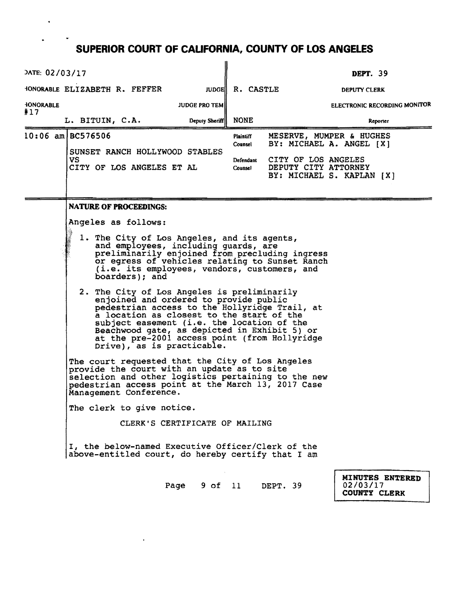| DATE: 02/03/17                                                                                                                                                                                                                                                                                                                                                                                                                                                                                                                                                                                                                                                                                                                                              | <b>DEPT.</b> 39                                                                                  |
|-------------------------------------------------------------------------------------------------------------------------------------------------------------------------------------------------------------------------------------------------------------------------------------------------------------------------------------------------------------------------------------------------------------------------------------------------------------------------------------------------------------------------------------------------------------------------------------------------------------------------------------------------------------------------------------------------------------------------------------------------------------|--------------------------------------------------------------------------------------------------|
| HONORABLE ELIZABETH R. FEFFER                                                                                                                                                                                                                                                                                                                                                                                                                                                                                                                                                                                                                                                                                                                               | <b>JUDGE R. CASTLE</b><br>DEPUTY CLERK                                                           |
| <b>HONORABLE</b><br><b>JUDGE PRO TEMI</b><br>#17                                                                                                                                                                                                                                                                                                                                                                                                                                                                                                                                                                                                                                                                                                            | <b>ELECTRONIC RECORDING MONITOR</b>                                                              |
| L. BITUIN, C.A.<br>Deputy Sheriff                                                                                                                                                                                                                                                                                                                                                                                                                                                                                                                                                                                                                                                                                                                           | <b>NONE</b><br>Reporter                                                                          |
| 10:06 am BC576506                                                                                                                                                                                                                                                                                                                                                                                                                                                                                                                                                                                                                                                                                                                                           | MESERVE, MUMPER & HUGHES<br>Plaintiff<br>BY: MICHAEL A. ANGEL [X]<br>Counsel                     |
| SUNSET RANCH HOLLYWOOD STABLES<br>VS.<br>CITY OF LOS ANGELES ET AL                                                                                                                                                                                                                                                                                                                                                                                                                                                                                                                                                                                                                                                                                          | CITY OF LOS ANGELES<br>Defendant<br>DEPUTY CITY ATTORNEY<br>Counsel<br>BY: MICHAEL S. KAPLAN [X] |
| <b>NATURE OF PROCEEDINGS:</b>                                                                                                                                                                                                                                                                                                                                                                                                                                                                                                                                                                                                                                                                                                                               |                                                                                                  |
| Angeles as follows:<br>1. The City of Los Angeles, and its agents,<br>and employees, including guards, are<br>preliminarily enjoined from precluding ingress<br>or egress of vehicles relating to Sunset Ranch<br>(i.e. its employees, vendors, customers, and<br>boarders); and<br>2. The City of Los Angeles is preliminarily<br>enjoined and ordered to provide public<br>pedestrian access to the Hollyridge Trail, at<br>a location as closest to the start of the<br>subject easement (i.e. the location of the<br>Beachwood gate, as depicted in Exhibit 5) or<br>at the pre-2001 access point (from Hollyridge<br>$Dirive)$ , as is practicable.<br>The court requested that the City of Los Angeles<br>provide the court with an update as to site |                                                                                                  |
| selection and other logistics pertaining to the new<br>pedestrian access point at the March 13, 2017 Case<br>Management Conference.                                                                                                                                                                                                                                                                                                                                                                                                                                                                                                                                                                                                                         |                                                                                                  |
| The clerk to give notice.                                                                                                                                                                                                                                                                                                                                                                                                                                                                                                                                                                                                                                                                                                                                   |                                                                                                  |
| CLERK'S CERTIFICATE OF MAILING                                                                                                                                                                                                                                                                                                                                                                                                                                                                                                                                                                                                                                                                                                                              |                                                                                                  |
| I, the below-named Executive Officer/Clerk of the<br>above-entitled court, do hereby certify that I am                                                                                                                                                                                                                                                                                                                                                                                                                                                                                                                                                                                                                                                      |                                                                                                  |
|                                                                                                                                                                                                                                                                                                                                                                                                                                                                                                                                                                                                                                                                                                                                                             | MINUTES ENTERED<br>Page 9 of 11 DEPT. 39<br>02/03/17<br><b>COUNTY CLERK</b>                      |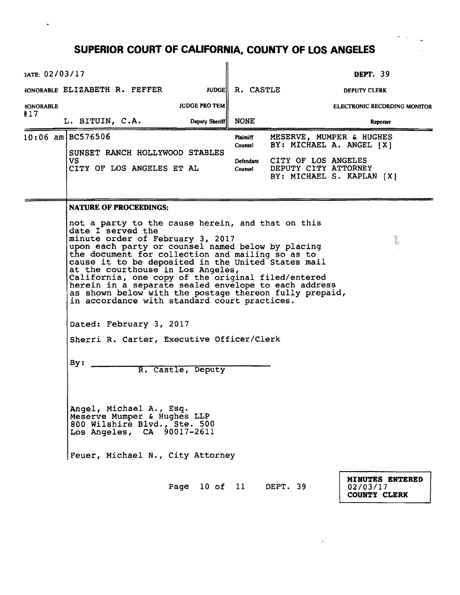| DATE: 02/03/17                                                                                                                                                                                                                                                                                                                                                                                                                                                                                                                                                                                                                             |                                                                                                                                                          |                      |                      |                                                      | <b>DEPT. 39</b>                                    |  |  |  |  |
|--------------------------------------------------------------------------------------------------------------------------------------------------------------------------------------------------------------------------------------------------------------------------------------------------------------------------------------------------------------------------------------------------------------------------------------------------------------------------------------------------------------------------------------------------------------------------------------------------------------------------------------------|----------------------------------------------------------------------------------------------------------------------------------------------------------|----------------------|----------------------|------------------------------------------------------|----------------------------------------------------|--|--|--|--|
|                                                                                                                                                                                                                                                                                                                                                                                                                                                                                                                                                                                                                                            | HONORABLE ELIZABETH R. FEFFER                                                                                                                            | <b>JUDGE</b>         | R. CASTLE            |                                                      | <b>DEPUTY CLERK</b>                                |  |  |  |  |
| <b>HONORABLE</b>                                                                                                                                                                                                                                                                                                                                                                                                                                                                                                                                                                                                                           |                                                                                                                                                          | <b>JUDGE PRO TEM</b> |                      |                                                      | ELECTRONIC RECORDING MONITOR                       |  |  |  |  |
| #17                                                                                                                                                                                                                                                                                                                                                                                                                                                                                                                                                                                                                                        | L. BITUIN, C.A.                                                                                                                                          | Deputy Sheriff       | <b>NONE</b>          |                                                      | Reporter                                           |  |  |  |  |
|                                                                                                                                                                                                                                                                                                                                                                                                                                                                                                                                                                                                                                            | $10:06$ am BC576506<br>SUNSET RANCH HOLLYWOOD STABLES                                                                                                    |                      | Plaintiff<br>Counsel | MESERVE, MUMPER & HUGHES<br>BY: MICHAEL A. ANGEL [X] |                                                    |  |  |  |  |
|                                                                                                                                                                                                                                                                                                                                                                                                                                                                                                                                                                                                                                            | VS.<br>CITY OF LOS ANGELES ET AL                                                                                                                         |                      | Defendant<br>Counsel | CITY OF LOS ANGELES<br>DEPUTY CITY ATTORNEY          | BY: MICHAEL S. KAPLAN [X]                          |  |  |  |  |
|                                                                                                                                                                                                                                                                                                                                                                                                                                                                                                                                                                                                                                            | <b>NATURE OF PROCEEDINGS:</b>                                                                                                                            |                      |                      |                                                      |                                                    |  |  |  |  |
| not a party to the cause herein, and that on this<br>date I served the<br>minute order of February 3, 2017<br>upon each party or counsel named below by placing<br>the document for collection and mailing so as to<br>cause it to be deposited in the United States mail<br>at the courthouse in Los Angeles,<br>California, one copy of the original filed/entered<br>herein in a separate sealed envelope to each address<br>as shown below with the postage thereon fully prepaid,<br>in accordance with standard court practices.<br>Dated: February 3, 2017<br>Sherri R. Carter, Executive Officer/Clerk<br>By:<br>R. Castle, Deputy |                                                                                                                                                          |                      |                      |                                                      |                                                    |  |  |  |  |
|                                                                                                                                                                                                                                                                                                                                                                                                                                                                                                                                                                                                                                            | Angel, Michael A., Esq.<br>Meserve Mumper & Hughes LLP<br>800 Wilshire Blvd., Ste. 500<br>Los Angeles, CA 90017-2611<br>Feuer, Michael N., City Attorney |                      |                      |                                                      |                                                    |  |  |  |  |
|                                                                                                                                                                                                                                                                                                                                                                                                                                                                                                                                                                                                                                            |                                                                                                                                                          | Page 10 of 11        |                      | DEPT. 39                                             | MINUTES ENTERED<br>02/03/17<br><b>COUNTY CLERK</b> |  |  |  |  |